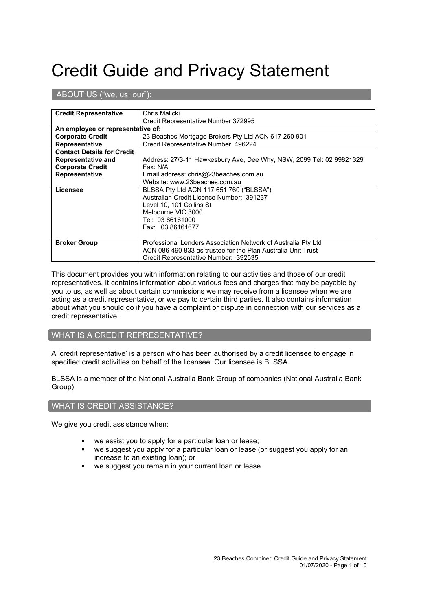# Credit Guide and Privacy Statement

ABOUT US ("we, us, our"):

| <b>Credit Representative</b>                               | Chris Malicki                                                        |  |
|------------------------------------------------------------|----------------------------------------------------------------------|--|
|                                                            | Credit Representative Number 372995                                  |  |
| An employee or representative of:                          |                                                                      |  |
| <b>Corporate Credit</b>                                    | 23 Beaches Mortgage Brokers Pty Ltd ACN 617 260 901                  |  |
| <b>Representative</b>                                      | Credit Representative Number 496224                                  |  |
| <b>Contact Details for Credit</b>                          |                                                                      |  |
| <b>Representative and</b>                                  | Address: 27/3-11 Hawkesbury Ave, Dee Why, NSW, 2099 Tel: 02 99821329 |  |
| <b>Corporate Credit</b>                                    | Fax: N/A                                                             |  |
| <b>Representative</b>                                      | Email address: chris@23beaches.com.au                                |  |
|                                                            | Website: www.23beaches.com.au                                        |  |
| Licensee                                                   | BLSSA Pty Ltd ACN 117 651 760 ("BLSSA")                              |  |
|                                                            | Australian Credit Licence Number: 391237<br>Level 10, 101 Collins St |  |
|                                                            |                                                                      |  |
| Melbourne VIC 3000<br>Tel: 03 86161000<br>Fax: 03 86161677 |                                                                      |  |
|                                                            |                                                                      |  |
|                                                            |                                                                      |  |
|                                                            |                                                                      |  |
| <b>Broker Group</b>                                        | Professional Lenders Association Network of Australia Pty Ltd        |  |
|                                                            | ACN 086 490 833 as trustee for the Plan Australia Unit Trust         |  |
|                                                            | Credit Representative Number: 392535                                 |  |

This document provides you with information relating to our activities and those of our credit representatives. It contains information about various fees and charges that may be payable by you to us, as well as about certain commissions we may receive from a licensee when we are acting as a credit representative, or we pay to certain third parties. It also contains information about what you should do if you have a complaint or dispute in connection with our services as a credit representative.

# WHAT IS A CREDIT REPRESENTATIVE?

A 'credit representative' is a person who has been authorised by a credit licensee to engage in specified credit activities on behalf of the licensee. Our licensee is BLSSA.

BLSSA is a member of the National Australia Bank Group of companies (National Australia Bank Group).

# WHAT IS CREDIT ASSISTANCE?

We give you credit assistance when:

- we assist you to apply for a particular loan or lease;
- we suggest you apply for a particular loan or lease (or suggest you apply for an increase to an existing loan); or
- we suggest you remain in your current loan or lease.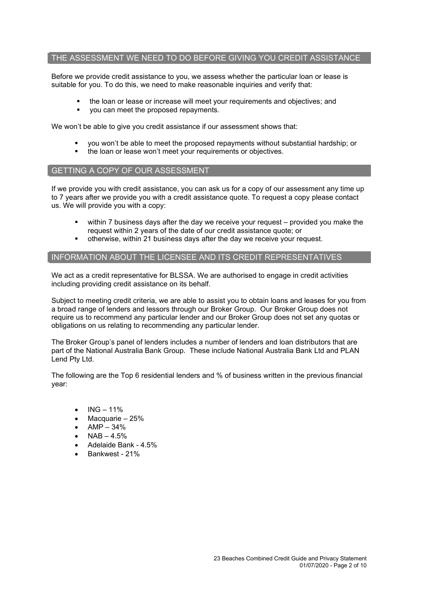# THE ASSESSMENT WE NEED TO DO BEFORE GIVING YOU CREDIT ASSISTANCE

Before we provide credit assistance to you, we assess whether the particular loan or lease is suitable for you. To do this, we need to make reasonable inquiries and verify that:

- the loan or lease or increase will meet your requirements and objectives; and
- you can meet the proposed repayments.

We won't be able to give you credit assistance if our assessment shows that:

- you won't be able to meet the proposed repayments without substantial hardship; or
- the loan or lease won't meet your requirements or objectives.

# GETTING A COPY OF OUR ASSESSMENT

If we provide you with credit assistance, you can ask us for a copy of our assessment any time up to 7 years after we provide you with a credit assistance quote. To request a copy please contact us. We will provide you with a copy:

- within 7 business days after the day we receive your request provided you make the request within 2 years of the date of our credit assistance quote; or
- otherwise, within 21 business days after the day we receive your request.

# INFORMATION ABOUT THE LICENSEE AND ITS CREDIT REPRESENTATIVES

We act as a credit representative for BLSSA. We are authorised to engage in credit activities including providing credit assistance on its behalf.

Subject to meeting credit criteria, we are able to assist you to obtain loans and leases for you from a broad range of lenders and lessors through our Broker Group. Our Broker Group does not require us to recommend any particular lender and our Broker Group does not set any quotas or obligations on us relating to recommending any particular lender.

The Broker Group's panel of lenders includes a number of lenders and loan distributors that are part of the National Australia Bank Group. These include National Australia Bank Ltd and PLAN Lend Pty Ltd.

The following are the Top 6 residential lenders and % of business written in the previous financial year:

- $ING 11%$
- Macquarie 25%
- AMP 34%
- $NAB 4.5%$
- Adelaide Bank 4.5%
- Bankwest 21%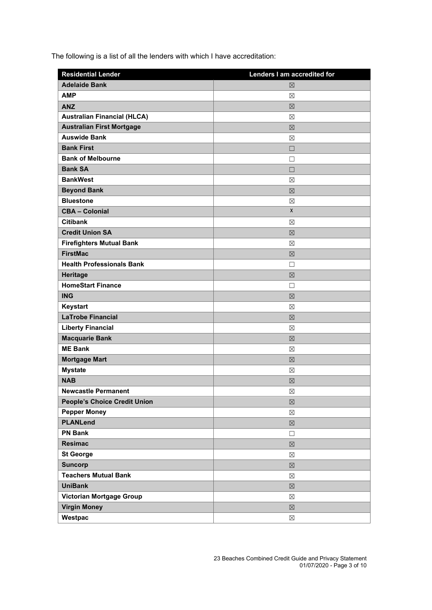The following is a list of all the lenders with which I have accreditation:

| <b>Residential Lender</b>           | Lenders I am accredited for |
|-------------------------------------|-----------------------------|
| <b>Adelaide Bank</b>                | 区                           |
| <b>AMP</b>                          | ⊠                           |
| <b>ANZ</b>                          | 区                           |
| <b>Australian Financial (HLCA)</b>  | ⊠                           |
| <b>Australian First Mortgage</b>    | $\boxtimes$                 |
| <b>Auswide Bank</b>                 | ⊠                           |
| <b>Bank First</b>                   | $\Box$                      |
| <b>Bank of Melbourne</b>            | $\Box$                      |
| <b>Bank SA</b>                      | $\Box$                      |
| <b>BankWest</b>                     | ⊠                           |
| <b>Beyond Bank</b>                  | $\boxtimes$                 |
| <b>Bluestone</b>                    | $\boxtimes$                 |
| <b>CBA - Colonial</b>               | X                           |
| <b>Citibank</b>                     | ⊠                           |
| <b>Credit Union SA</b>              | $\boxtimes$                 |
| <b>Firefighters Mutual Bank</b>     | ⊠                           |
| <b>FirstMac</b>                     | 区                           |
| <b>Health Professionals Bank</b>    | П                           |
| Heritage                            | $\boxtimes$                 |
| <b>HomeStart Finance</b>            | □                           |
| <b>ING</b>                          | 区                           |
| Keystart                            | ⊠                           |
| <b>LaTrobe Financial</b>            | 区                           |
| <b>Liberty Financial</b>            | ⊠                           |
| <b>Macquarie Bank</b>               | 区                           |
| <b>ME Bank</b>                      | ⊠                           |
| <b>Mortgage Mart</b>                | 区                           |
| <b>Mystate</b>                      | ⊠                           |
| <b>NAB</b>                          | 区                           |
| Newcastle Permanent                 | $\boxtimes$                 |
| <b>People's Choice Credit Union</b> | $\boxtimes$                 |
| <b>Pepper Money</b>                 | $\boxtimes$                 |
| <b>PLANLend</b>                     | $\boxtimes$                 |
| <b>PN Bank</b>                      | □                           |
| <b>Resimac</b>                      | $\boxtimes$                 |
| <b>St George</b>                    | $\boxtimes$                 |
| <b>Suncorp</b>                      | $\boxtimes$                 |
| <b>Teachers Mutual Bank</b>         | ⊠                           |
| <b>UniBank</b>                      | $\boxtimes$                 |
| Victorian Mortgage Group            | $\boxtimes$                 |
| <b>Virgin Money</b>                 | $\boxtimes$                 |
| Westpac                             | $\boxtimes$                 |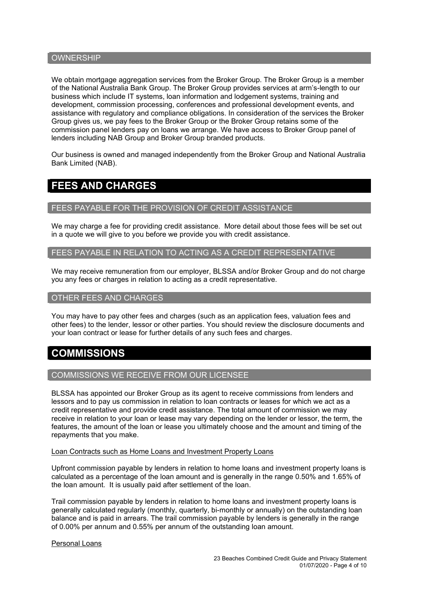### **OWNERSHIP**

We obtain mortgage aggregation services from the Broker Group. The Broker Group is a member of the National Australia Bank Group. The Broker Group provides services at arm's-length to our business which include IT systems, loan information and lodgement systems, training and development, commission processing, conferences and professional development events, and assistance with regulatory and compliance obligations. In consideration of the services the Broker Group gives us, we pay fees to the Broker Group or the Broker Group retains some of the commission panel lenders pay on loans we arrange. We have access to Broker Group panel of lenders including NAB Group and Broker Group branded products.

Our business is owned and managed independently from the Broker Group and National Australia Bank Limited (NAB).

# **FEES AND CHARGES**

#### FEES PAYABLE FOR THE PROVISION OF CREDIT ASSISTANCE

We may charge a fee for providing credit assistance. More detail about those fees will be set out in a quote we will give to you before we provide you with credit assistance.

FEES PAYABLE IN RELATION TO ACTING AS A CREDIT REPRESENTATIVE

We may receive remuneration from our employer, BLSSA and/or Broker Group and do not charge you any fees or charges in relation to acting as a credit representative.

### OTHER FEES AND CHARGES

You may have to pay other fees and charges (such as an application fees, valuation fees and other fees) to the lender, lessor or other parties. You should review the disclosure documents and your loan contract or lease for further details of any such fees and charges.

# **COMMISSIONS**

#### COMMISSIONS WE RECEIVE FROM OUR LICENSEE

BLSSA has appointed our Broker Group as its agent to receive commissions from lenders and lessors and to pay us commission in relation to loan contracts or leases for which we act as a credit representative and provide credit assistance. The total amount of commission we may receive in relation to your loan or lease may vary depending on the lender or lessor, the term, the features, the amount of the loan or lease you ultimately choose and the amount and timing of the repayments that you make.

#### Loan Contracts such as Home Loans and Investment Property Loans

Upfront commission payable by lenders in relation to home loans and investment property loans is calculated as a percentage of the loan amount and is generally in the range 0.50% and 1.65% of the loan amount. It is usually paid after settlement of the loan.

Trail commission payable by lenders in relation to home loans and investment property loans is generally calculated regularly (monthly, quarterly, bi-monthly or annually) on the outstanding loan balance and is paid in arrears. The trail commission payable by lenders is generally in the range of 0.00% per annum and 0.55% per annum of the outstanding loan amount.

#### Personal Loans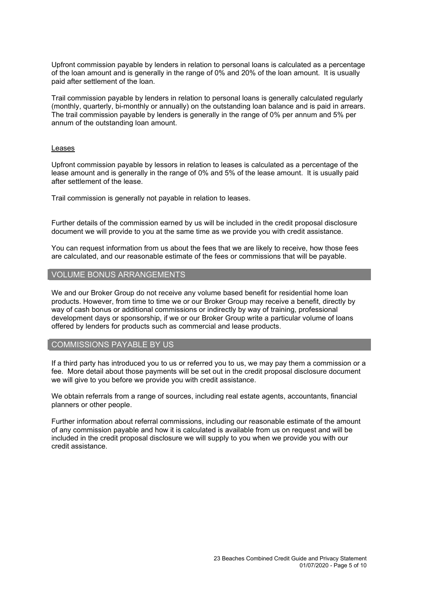Upfront commission payable by lenders in relation to personal loans is calculated as a percentage of the loan amount and is generally in the range of 0% and 20% of the loan amount. It is usually paid after settlement of the loan.

Trail commission payable by lenders in relation to personal loans is generally calculated regularly (monthly, quarterly, bi-monthly or annually) on the outstanding loan balance and is paid in arrears. The trail commission payable by lenders is generally in the range of 0% per annum and 5% per annum of the outstanding loan amount.

#### Leases

Upfront commission payable by lessors in relation to leases is calculated as a percentage of the lease amount and is generally in the range of 0% and 5% of the lease amount. It is usually paid after settlement of the lease.

Trail commission is generally not payable in relation to leases.

Further details of the commission earned by us will be included in the credit proposal disclosure document we will provide to you at the same time as we provide you with credit assistance.

You can request information from us about the fees that we are likely to receive, how those fees are calculated, and our reasonable estimate of the fees or commissions that will be payable.

# VOLUME BONUS ARRANGEMENTS

We and our Broker Group do not receive any volume based benefit for residential home loan products. However, from time to time we or our Broker Group may receive a benefit, directly by way of cash bonus or additional commissions or indirectly by way of training, professional development days or sponsorship, if we or our Broker Group write a particular volume of loans offered by lenders for products such as commercial and lease products.

# COMMISSIONS PAYABLE BY US

If a third party has introduced you to us or referred you to us, we may pay them a commission or a fee. More detail about those payments will be set out in the credit proposal disclosure document we will give to you before we provide you with credit assistance.

We obtain referrals from a range of sources, including real estate agents, accountants, financial planners or other people.

Further information about referral commissions, including our reasonable estimate of the amount of any commission payable and how it is calculated is available from us on request and will be included in the credit proposal disclosure we will supply to you when we provide you with our credit assistance.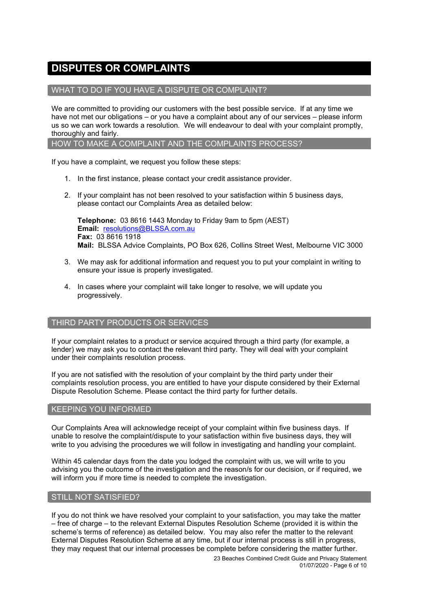# **DISPUTES OR COMPLAINTS**

# WHAT TO DO IF YOU HAVE A DISPUTE OR COMPLAINT?

We are committed to providing our customers with the best possible service. If at any time we have not met our obligations – or you have a complaint about any of our services – please inform us so we can work towards a resolution. We will endeavour to deal with your complaint promptly, thoroughly and fairly.

HOW TO MAKE A COMPLAINT AND THE COMPLAINTS PROCESS?

If you have a complaint, we request you follow these steps:

- 1. In the first instance, please contact your credit assistance provider.
- 2. If your complaint has not been resolved to your satisfaction within 5 business days, please contact our Complaints Area as detailed below:

**Telephone:** 03 8616 1443 Monday to Friday 9am to 5pm (AEST) **Email:** [resolutions@BLSSA.com.au](mailto:resolutions@BLSSA.com.au) **Fax:** 03 8616 1918 **Mail:** BLSSA Advice Complaints, PO Box 626, Collins Street West, Melbourne VIC 3000

- 3. We may ask for additional information and request you to put your complaint in writing to ensure your issue is properly investigated.
- 4. In cases where your complaint will take longer to resolve, we will update you progressively.

# THIRD PARTY PRODUCTS OR SERVICES

If your complaint relates to a product or service acquired through a third party (for example, a lender) we may ask you to contact the relevant third party. They will deal with your complaint under their complaints resolution process.

If you are not satisfied with the resolution of your complaint by the third party under their complaints resolution process, you are entitled to have your dispute considered by their External Dispute Resolution Scheme. Please contact the third party for further details.

# KEEPING YOU INFORMED

Our Complaints Area will acknowledge receipt of your complaint within five business days. If unable to resolve the complaint/dispute to your satisfaction within five business days, they will write to you advising the procedures we will follow in investigating and handling your complaint.

Within 45 calendar days from the date you lodged the complaint with us, we will write to you advising you the outcome of the investigation and the reason/s for our decision, or if required, we will inform you if more time is needed to complete the investigation.

# STILL NOT SATISFIED?

If you do not think we have resolved your complaint to your satisfaction, you may take the matter – free of charge – to the relevant External Disputes Resolution Scheme (provided it is within the scheme's terms of reference) as detailed below. You may also refer the matter to the relevant External Disputes Resolution Scheme at any time, but if our internal process is still in progress, they may request that our internal processes be complete before considering the matter further.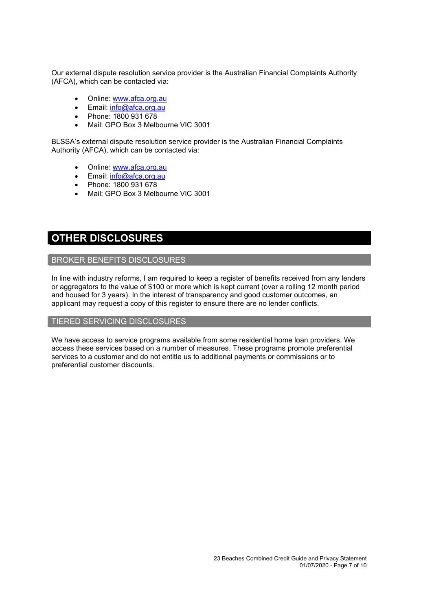Our external dispute resolution service provider is the Australian Financial Complaints Authority (AFCA), which can be contacted via:

- Online: [www.afca.org.au](http://www.afca.org.au/)
- Email: [info@afca.org.au](mailto:info@afc.org.au)
- Phone: 1800 931 678
- Mail: GPO Box 3 Melbourne VIC 3001

BLSSA's external dispute resolution service provider is the Australian Financial Complaints Authority (AFCA), which can be contacted via:

- Online: [www.afca.org.au](http://www.afca.org.au/)
- Email: [info@afca.org.au](mailto:info@afc.org.au)
- Phone: 1800 931 678
- Mail: GPO Box 3 Melbourne VIC 3001

# **OTHER DISCLOSURES**

# BROKER BENEFITS DISCLOSURES

In line with industry reforms, I am required to keep a register of benefits received from any lenders or aggregators to the value of \$100 or more which is kept current (over a rolling 12 month period and housed for 3 years). In the interest of transparency and good customer outcomes, an applicant may request a copy of this register to ensure there are no lender conflicts.

# TIERED SERVICING DISCLOSURES

We have access to service programs available from some residential home loan providers. We access these services based on a number of measures. These programs promote preferential services to a customer and do not entitle us to additional payments or commissions or to preferential customer discounts.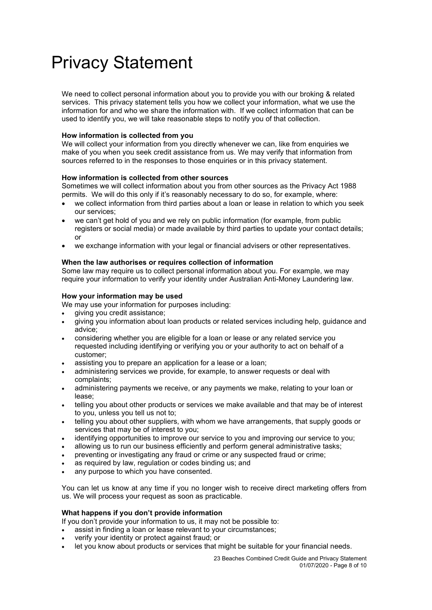# Privacy Statement

We need to collect personal information about you to provide you with our broking & related services. This privacy statement tells you how we collect your information, what we use the information for and who we share the information with. If we collect information that can be used to identify you, we will take reasonable steps to notify you of that collection.

### **How information is collected from you**

We will collect your information from you directly whenever we can, like from enquiries we make of you when you seek credit assistance from us. We may verify that information from sources referred to in the responses to those enquiries or in this privacy statement.

### **How information is collected from other sources**

Sometimes we will collect information about you from other sources as the Privacy Act 1988 permits. We will do this only if it's reasonably necessary to do so, for example, where:

- we collect information from third parties about a loan or lease in relation to which you seek our services;
- we can't get hold of you and we rely on public information (for example, from public registers or social media) or made available by third parties to update your contact details; or
- we exchange information with your legal or financial advisers or other representatives.

#### **When the law authorises or requires collection of information**

Some law may require us to collect personal information about you. For example, we may require your information to verify your identity under Australian Anti-Money Laundering law.

#### **How your information may be used**

- We may use your information for purposes including:
- giving you credit assistance;
- giving you information about loan products or related services including help, guidance and advice;
- considering whether you are eligible for a loan or lease or any related service you requested including identifying or verifying you or your authority to act on behalf of a customer;
- assisting you to prepare an application for a lease or a loan;
- administering services we provide, for example, to answer requests or deal with complaints;
- administering payments we receive, or any payments we make, relating to your loan or lease;
- telling you about other products or services we make available and that may be of interest to you, unless you tell us not to;
- telling you about other suppliers, with whom we have arrangements, that supply goods or services that may be of interest to you;
- identifying opportunities to improve our service to you and improving our service to you;
- allowing us to run our business efficiently and perform general administrative tasks;
- preventing or investigating any fraud or crime or any suspected fraud or crime;
- as required by law, regulation or codes binding us; and
- any purpose to which you have consented.

You can let us know at any time if you no longer wish to receive direct marketing offers from us. We will process your request as soon as practicable.

#### **What happens if you don't provide information**

If you don't provide your information to us, it may not be possible to:

assist in finding a loan or lease relevant to your circumstances;

- verify your identity or protect against fraud; or
- let you know about products or services that might be suitable for your financial needs.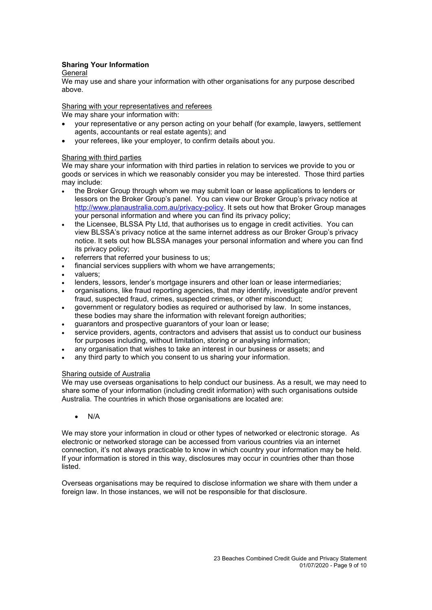# **Sharing Your Information**

### General

We may use and share your information with other organisations for any purpose described above.

Sharing with your representatives and referees

We may share your information with:

- your representative or any person acting on your behalf (for example, lawyers, settlement agents, accountants or real estate agents); and
- your referees, like your employer, to confirm details about you.

#### Sharing with third parties

We may share your information with third parties in relation to services we provide to you or goods or services in which we reasonably consider you may be interested. Those third parties may include:

- the Broker Group through whom we may submit loan or lease applications to lenders or lessors on the Broker Group's panel. You can view our Broker Group's privacy notice at [http://www.planaustralia.com.au/privacy-policy.](http://www.planaustralia.com.au/privacy-policy) It sets out how that Broker Group manages your personal information and where you can find its privacy policy;
- the Licensee, BLSSA Pty Ltd, that authorises us to engage in credit activities. You can view BLSSA's privacy notice at the same internet address as our Broker Group's privacy notice. It sets out how BLSSA manages your personal information and where you can find its privacy policy;
- referrers that referred your business to us;
- financial services suppliers with whom we have arrangements;
- valuers;
- lenders, lessors, lender's mortgage insurers and other loan or lease intermediaries;
- organisations, like fraud reporting agencies, that may identify, investigate and/or prevent fraud, suspected fraud, crimes, suspected crimes, or other misconduct;
- government or regulatory bodies as required or authorised by law. In some instances, these bodies may share the information with relevant foreign authorities;
- guarantors and prospective guarantors of your loan or lease;
- service providers, agents, contractors and advisers that assist us to conduct our business for purposes including, without limitation, storing or analysing information;
- any organisation that wishes to take an interest in our business or assets; and
- any third party to which you consent to us sharing your information.

#### Sharing outside of Australia

We may use overseas organisations to help conduct our business. As a result, we may need to share some of your information (including credit information) with such organisations outside Australia. The countries in which those organisations are located are:

# • N/A

We may store your information in cloud or other types of networked or electronic storage. As electronic or networked storage can be accessed from various countries via an internet connection, it's not always practicable to know in which country your information may be held. If your information is stored in this way, disclosures may occur in countries other than those listed.

Overseas organisations may be required to disclose information we share with them under a foreign law. In those instances, we will not be responsible for that disclosure.